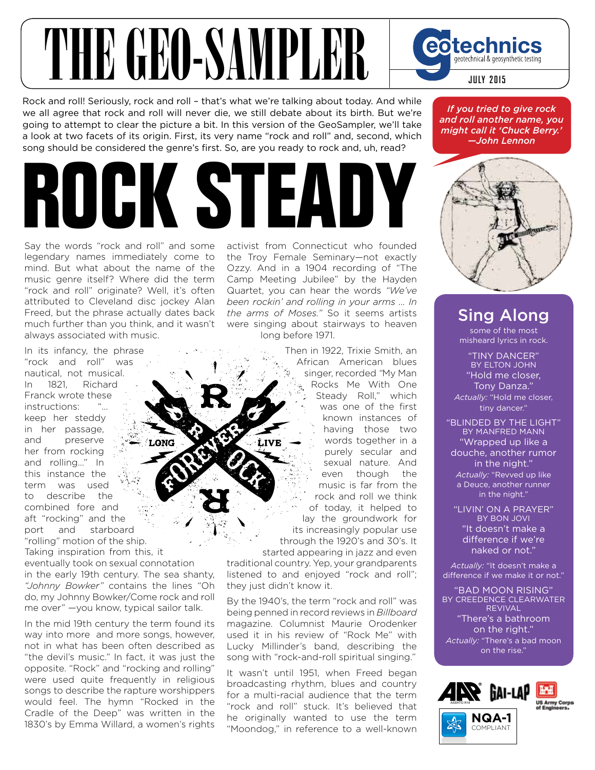## THE GEORANDLER Cotechnics

Rock and roll! Seriously, rock and roll – that's what we're talking about today. And while we all agree that rock and roll will never die, we still debate about its birth. But we're going to attempt to clear the picture a bit. In this version of the GeoSampler, we'll take a look at two facets of its origin. First, its very name "rock and roll" and, second, which song should be considered the genre's first. So, are you ready to rock and, uh, read?

## **ROCK STEADY**

Say the words "rock and roll" and some legendary names immediately come to mind. But what about the name of the music genre itself? Where did the term "rock and roll" originate? Well, it's often attributed to Cleveland disc jockey Alan Freed, but the phrase actually dates back much further than you think, and it wasn't always associated with music.

In its infancy, the phrase "rock and roll" was nautical, not musical. In 1821, Richard Franck wrote these instructions: keep her steddy in her passage, and preserve her from rocking and rolling…" In this instance the term was used to describe the combined fore and aft "rocking" and the port and starboard "rolling" motion of the ship.

Taking inspiration from this, it eventually took on sexual connotation in the early 19th century. The sea shanty, *"Johnny Bowker"* contains the lines "Oh do, my Johnny Bowker/Come rock and roll me over" —you know, typical sailor talk.

In the mid 19th century the term found its way into more and more songs, however, not in what has been often described as "the devil's music." In fact, it was just the opposite. "Rock" and "rocking and rolling" were used quite frequently in religious songs to describe the rapture worshippers would feel. The hymn "Rocked in the Cradle of the Deep" was written in the 1830's by Emma Willard, a women's rights activist from Connecticut who founded the Troy Female Seminary—not exactly Ozzy. And in a 1904 recording of "The Camp Meeting Jubilee" by the Hayden Quartet, you can hear the words *"We've been rockin' and rolling in your arms ... In the arms of Moses."* So it seems artists were singing about stairways to heaven long before 1971.

> Then in 1922, Trixie Smith, an African American blues singer, recorded *"*My Man Rocks Me With One Steady Roll," which was one of the first known instances of having those two words together in a purely secular and sexual nature. And even though the music is far from the rock and roll we think of today, it helped to lay the groundwork for its increasingly popular use through the 1920's and 30's. It started appearing in jazz and even

traditional country. Yep, your grandparents listened to and enjoyed "rock and roll"; they just didn't know it.

By the 1940's, the term "rock and roll" was being penned in record reviews in *Billboard* magazine. Columnist Maurie Orodenker used it in his review of "Rock Me" with Lucky Millinder's band, describing the song with "rock-and-roll spiritual singing."

It wasn't until 1951, when Freed began broadcasting rhythm, blues and country for a multi-racial audience that the term "rock and roll" stuck. It's believed that he originally wanted to use the term "Moondog," in reference to a well-known

*If you tried to give rock and roll another name, you might call it 'Chuck Berry.' —John Lennon*



## Sing Along

some of the most misheard lyrics in rock.

"TINY DANCER" BY ELTON JOHN "Hold me closer, Tony Danza." *Actually:* "Hold me closer, tiny dancer."

"BLINDED BY THE LIGHT" BY MANFRED MANN "Wrapped up like a douche, another rumor in the night." *Actually:* "Revved up like a Deuce, another runner in the night."

"LIVIN' ON A PRAYER" BY BON JOVI "It doesn't make a difference if we're naked or not."

*Actually:* "It doesn't make a difference if we make it or not."

"BAD MOON RISING" BY CREEDENCE CLEARWATER REVIVAL "There's a bathroom on the right." *Actually:* "There's a bad moon on the rise."